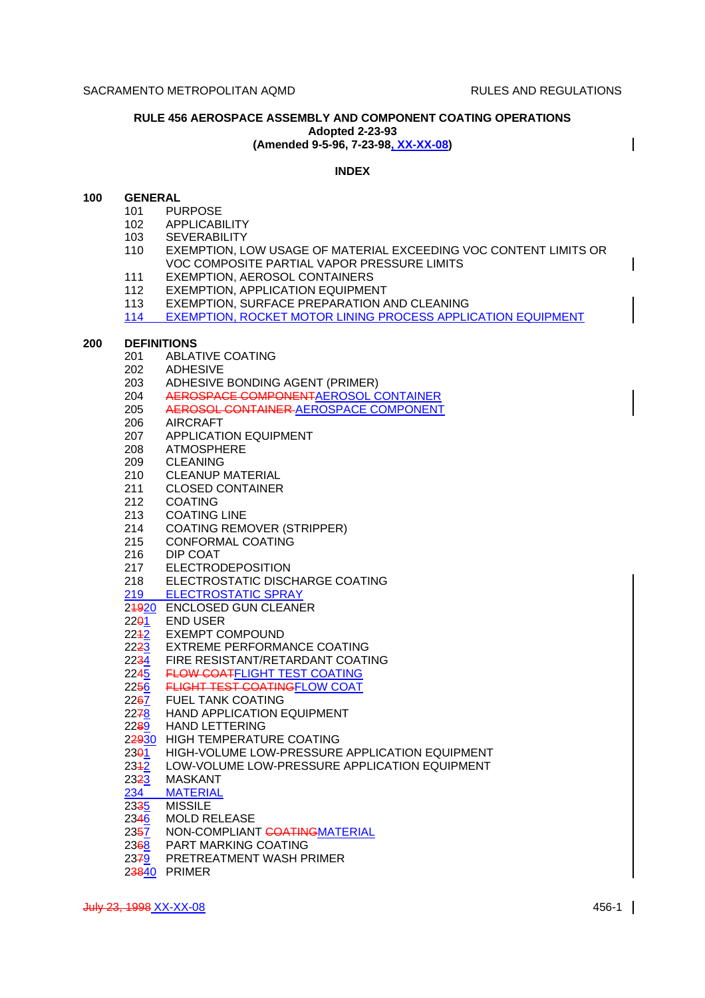$\mathbf l$ 

## **RULE 456 AEROSPACE ASSEMBLY AND COMPONENT COATING OPERATIONS Adopted 2-23-93 (Amended 9-5-96, 7-23-98, XX-XX-08)**

# **INDEX**

## **100 GENERAL**

- 101 PURPOSE
	- 102 APPLICABILITY
	- 103 SEVERABILITY
	- 110 EXEMPTION, LOW USAGE OF MATERIAL EXCEEDING VOC CONTENT LIMITS OR VOC COMPOSITE PARTIAL VAPOR PRESSURE LIMITS
	- 111 EXEMPTION, AEROSOL CONTAINERS
	- 112 EXEMPTION, APPLICATION EQUIPMENT
	- 113 EXEMPTION, SURFACE PREPARATION AND CLEANING

114 EXEMPTION, ROCKET MOTOR LINING PROCESS APPLICATION EQUIPMENT

## **200 DEFINITIONS**

- 201 ABLATIVE COATING
- 202 ADHESIVE<br>203 ADHESIVE
- ADHESIVE BONDING AGENT (PRIMER)
- 204 AEROSPACE COMPONENTAEROSOL CONTAINER
- 205 AEROSOL CONTAINER AEROSPACE COMPONENT
- 206 AIRCRAFT
- 207 APPLICATION EQUIPMENT
- 208 ATMOSPHERE
- 209 CLEANING
- 210 CLEANUP MATERIAL
- 211 CLOSED CONTAINER
- 212 COATING
- 213 COATING LINE
- 214 COATING REMOVER (STRIPPER)
- 215 CONFORMAL COATING
- 216 DIP COAT
- 217 ELECTRODEPOSITION
- 218 ELECTROSTATIC DISCHARGE COATING
- 219 ELECTROSTATIC SPRAY
- 24920 ENCLOSED GUN CLEANER
- 
- 22<del>0</del>1 END USER<br>2242 EXEMPT CO
- 2242 EXEMPT COMPOUND<br>22<del>23</del> EXTREME PERFORMA EXTREME PERFORMANCE COATING
- 2234 FIRE RESISTANT/RETARDANT COATING
- 
- 224<u>5</u> **FLOW COATFLIGHT TEST COATING**<br>2256 **FLIGHT TEST COATING**FLOW COAT 2256 FLIGHT TEST COATINGFLOW COAT
- **FUEL TANK COATING**
- 2278 HAND APPLICATION EQUIPMENT
- 2289 HAND LETTERING
- 22930 HIGH TEMPERATURE COATING
- 2301 HIGH-VOLUME LOW-PRESSURE APPLICATION EQUIPMENT
- 234<u>2</u> LOW-VOLUME LOW-PRESSURE APPLICATION EQUIPMENT<br>23<del>2</del>3 MASKANT
- 23<mark>2<u>3</u> MASKANT</mark><br>234 MATERIAL
- 234 MATERIAL<br>23<del>3</del>5 MISSILE
- **MISSILE**
- 2346 MOLD RELEASE
- 2357 NON-COMPLIANT COATINGMATERIAL
- 2368 PART MARKING COATING
- 2379 PRETREATMENT WASH PRIMER
- 23840 PRIMER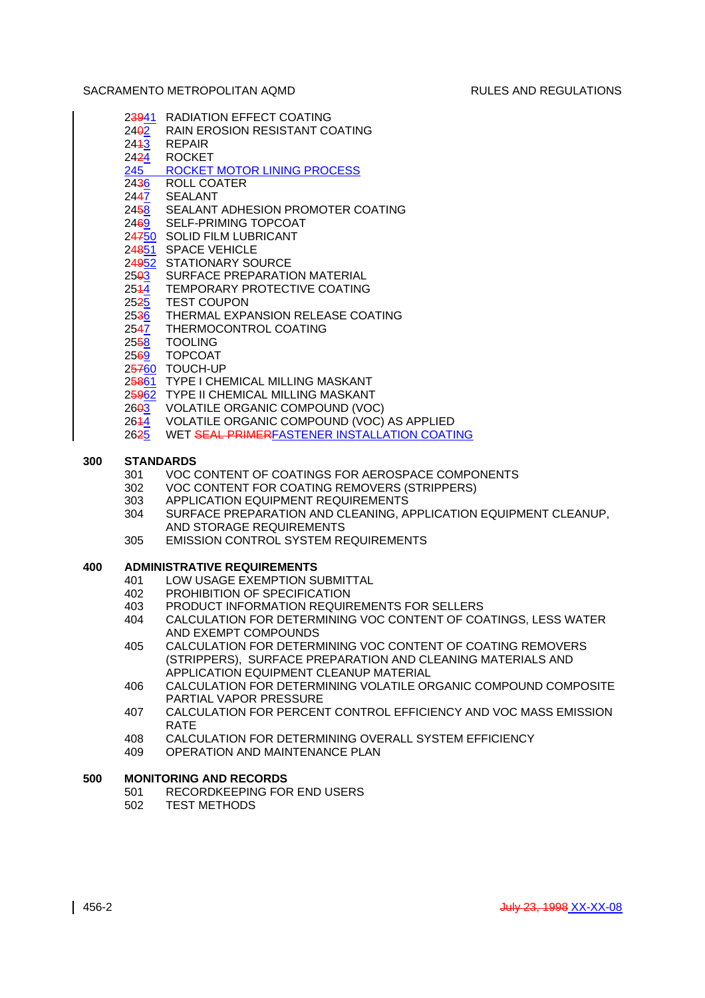- 23941 RADIATION EFFECT COATING
- 2402 RAIN EROSION RESISTANT COATING
- 2443 REPAIR
- 2424 ROCKET 245 ROCKET MOTOR LINING PROCESS
- 2436 ROLL COATER
- 2447 SEALANT
- 2458 SEALANT ADHESION PROMOTER COATING
- 2469 SELF-PRIMING TOPCOAT
- 24750 SOLID FILM LUBRICANT
- 24851 SPACE VEHICLE
- 24952 STATIONARY SOURCE
- 25<del>0</del>3 SURFACE PREPARATION MATERIAL
- 2544 TEMPORARY PROTECTIVE COATING
- 2525 TEST COUPON
- 2536 THERMAL EXPANSION RELEASE COATING
- 2547 THERMOCONTROL COATING
- 2558 TOOLING
- 2569 TOPCOAT
- 25760 TOUCH-UP
- 25861 TYPE I CHEMICAL MILLING MASKANT
- 25962 TYPE II CHEMICAL MILLING MASKANT
- 26<del>03</del> VOLATILE ORGANIC COMPOUND (VOC)
- 2644 VOLATILE ORGANIC COMPOUND (VOC) AS APPLIED
- 2625 WET SEAL PRIMERFASTENER INSTALLATION COATING

# **300 STANDARDS**

- 301 VOC CONTENT OF COATINGS FOR AEROSPACE COMPONENTS
- 302 VOC CONTENT FOR COATING REMOVERS (STRIPPERS)
- 303 APPLICATION EQUIPMENT REQUIREMENTS
- 304 SURFACE PREPARATION AND CLEANING, APPLICATION EQUIPMENT CLEANUP, AND STORAGE REQUIREMENTS
- 305 EMISSION CONTROL SYSTEM REQUIREMENTS

# **400 ADMINISTRATIVE REQUIREMENTS**

- 401 LOW USAGE EXEMPTION SUBMITTAL<br>402 PROHIBITION OF SPECIFICATION
- PROHIBITION OF SPECIFICATION
- 403 PRODUCT INFORMATION REQUIREMENTS FOR SELLERS
- 404 CALCULATION FOR DETERMINING VOC CONTENT OF COATINGS, LESS WATER AND EXEMPT COMPOUNDS
- 405 CALCULATION FOR DETERMINING VOC CONTENT OF COATING REMOVERS (STRIPPERS), SURFACE PREPARATION AND CLEANING MATERIALS AND APPLICATION EQUIPMENT CLEANUP MATERIAL
- 406 CALCULATION FOR DETERMINING VOLATILE ORGANIC COMPOUND COMPOSITE PARTIAL VAPOR PRESSURE
- 407 CALCULATION FOR PERCENT CONTROL EFFICIENCY AND VOC MASS EMISSION RATE
- 408 CALCULATION FOR DETERMINING OVERALL SYSTEM EFFICIENCY
- 409 OPERATION AND MAINTENANCE PLAN

# **500 MONITORING AND RECORDS**

- 501 RECORDKEEPING FOR END USERS
- 502 TEST METHODS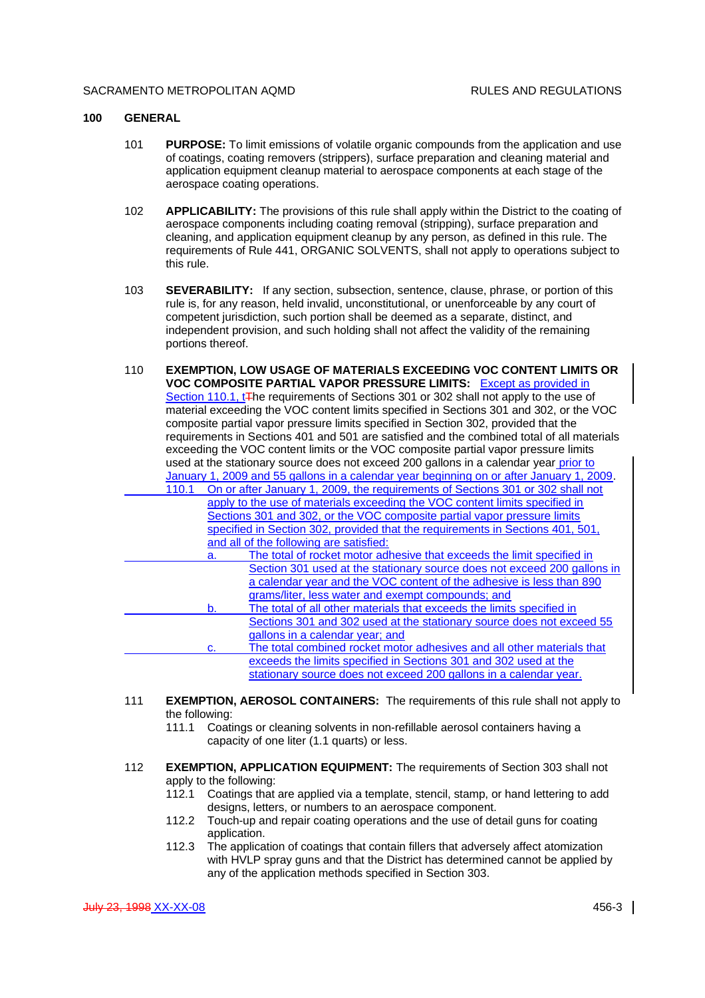### **100 GENERAL**

- 101 **PURPOSE:** To limit emissions of volatile organic compounds from the application and use of coatings, coating removers (strippers), surface preparation and cleaning material and application equipment cleanup material to aerospace components at each stage of the aerospace coating operations.
- 102 **APPLICABILITY:** The provisions of this rule shall apply within the District to the coating of aerospace components including coating removal (stripping), surface preparation and cleaning, and application equipment cleanup by any person, as defined in this rule. The requirements of Rule 441, ORGANIC SOLVENTS, shall not apply to operations subject to this rule.
- 103 **SEVERABILITY:** If any section, subsection, sentence, clause, phrase, or portion of this rule is, for any reason, held invalid, unconstitutional, or unenforceable by any court of competent jurisdiction, such portion shall be deemed as a separate, distinct, and independent provision, and such holding shall not affect the validity of the remaining portions thereof.
- 110 **EXEMPTION, LOW USAGE OF MATERIALS EXCEEDING VOC CONTENT LIMITS OR VOC COMPOSITE PARTIAL VAPOR PRESSURE LIMITS:** Except as provided in Section 110.1, t<sub>The requirements</sub> of Sections 301 or 302 shall not apply to the use of material exceeding the VOC content limits specified in Sections 301 and 302, or the VOC composite partial vapor pressure limits specified in Section 302, provided that the requirements in Sections 401 and 501 are satisfied and the combined total of all materials exceeding the VOC content limits or the VOC composite partial vapor pressure limits used at the stationary source does not exceed 200 gallons in a calendar year prior to January 1, 2009 and 55 gallons in a calendar year beginning on or after January 1, 2009. 110.1 On or after January 1, 2009, the requirements of Sections 301 or 302 shall not apply to the use of materials exceeding the VOC content limits specified in Sections 301 and 302, or the VOC composite partial vapor pressure limits specified in Section 302, provided that the requirements in Sections 401, 501, and all of the following are satisfied: a. The total of rocket motor adhesive that exceeds the limit specified in Section 301 used at the stationary source does not exceed 200 gallons in a calendar year and the VOC content of the adhesive is less than 890 grams/liter, less water and exempt compounds; and b. The total of all other materials that exceeds the limits specified in Sections 301 and 302 used at the stationary source does not exceed 55 gallons in a calendar year; and c. The total combined rocket motor adhesives and all other materials that exceeds the limits specified in Sections 301 and 302 used at the stationary source does not exceed 200 gallons in a calendar year.
- 111 **EXEMPTION, AEROSOL CONTAINERS:** The requirements of this rule shall not apply to the following:
	- 111.1 Coatings or cleaning solvents in non-refillable aerosol containers having a capacity of one liter (1.1 quarts) or less.
- 112 **EXEMPTION, APPLICATION EQUIPMENT:** The requirements of Section 303 shall not apply to the following:
	- 112.1 Coatings that are applied via a template, stencil, stamp, or hand lettering to add designs, letters, or numbers to an aerospace component.
	- 112.2 Touch-up and repair coating operations and the use of detail guns for coating application.
	- 112.3 The application of coatings that contain fillers that adversely affect atomization with HVLP spray guns and that the District has determined cannot be applied by any of the application methods specified in Section 303.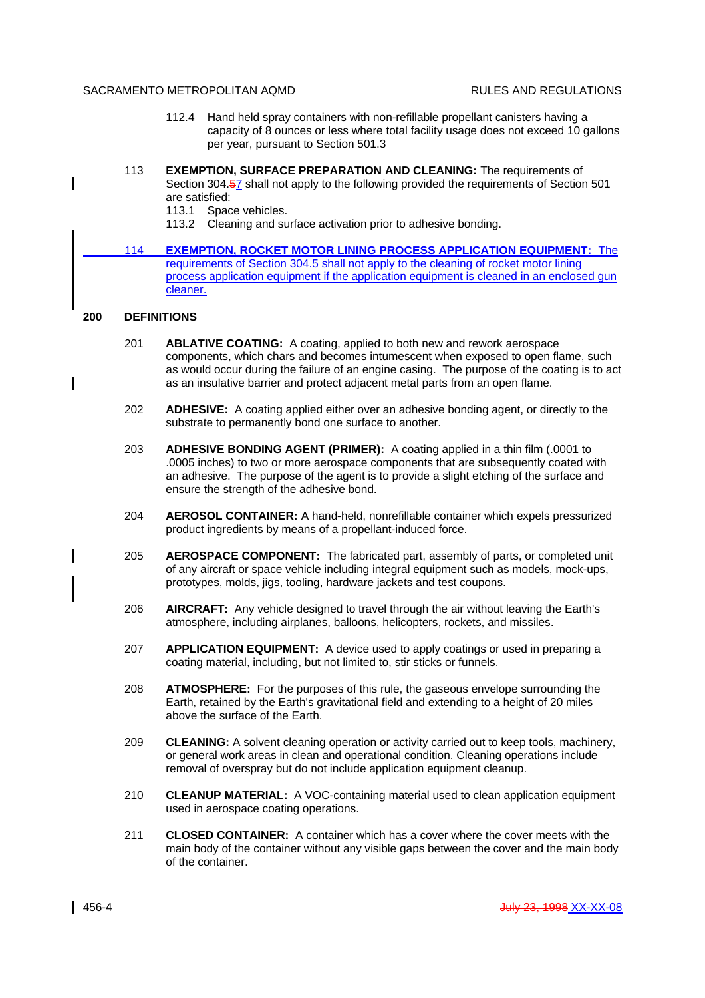- 112.4 Hand held spray containers with non-refillable propellant canisters having a capacity of 8 ounces or less where total facility usage does not exceed 10 gallons per year, pursuant to Section 501.3
- 113 **EXEMPTION, SURFACE PREPARATION AND CLEANING:** The requirements of Section 304.57 shall not apply to the following provided the requirements of Section 501 are satisfied:
	- 113.1 Space vehicles.
	- 113.2 Cleaning and surface activation prior to adhesive bonding.
- 114 **EXEMPTION, ROCKET MOTOR LINING PROCESS APPLICATION EQUIPMENT:** The requirements of Section 304.5 shall not apply to the cleaning of rocket motor lining process application equipment if the application equipment is cleaned in an enclosed gun cleaner.

## **200 DEFINITIONS**

 $\overline{\phantom{a}}$ 

- 201 **ABLATIVE COATING:** A coating, applied to both new and rework aerospace components, which chars and becomes intumescent when exposed to open flame, such as would occur during the failure of an engine casing. The purpose of the coating is to act as an insulative barrier and protect adjacent metal parts from an open flame.
- 202 **ADHESIVE:** A coating applied either over an adhesive bonding agent, or directly to the substrate to permanently bond one surface to another.
- 203 **ADHESIVE BONDING AGENT (PRIMER):** A coating applied in a thin film (.0001 to .0005 inches) to two or more aerospace components that are subsequently coated with an adhesive. The purpose of the agent is to provide a slight etching of the surface and ensure the strength of the adhesive bond.
- 204 **AEROSOL CONTAINER:** A hand-held, nonrefillable container which expels pressurized product ingredients by means of a propellant-induced force.
- 205 **AEROSPACE COMPONENT:** The fabricated part, assembly of parts, or completed unit of any aircraft or space vehicle including integral equipment such as models, mock-ups, prototypes, molds, jigs, tooling, hardware jackets and test coupons.
- 206 **AIRCRAFT:** Any vehicle designed to travel through the air without leaving the Earth's atmosphere, including airplanes, balloons, helicopters, rockets, and missiles.
- 207 **APPLICATION EQUIPMENT:** A device used to apply coatings or used in preparing a coating material, including, but not limited to, stir sticks or funnels.
- 208 **ATMOSPHERE:** For the purposes of this rule, the gaseous envelope surrounding the Earth, retained by the Earth's gravitational field and extending to a height of 20 miles above the surface of the Earth.
- 209 **CLEANING:** A solvent cleaning operation or activity carried out to keep tools, machinery, or general work areas in clean and operational condition. Cleaning operations include removal of overspray but do not include application equipment cleanup.
- 210 **CLEANUP MATERIAL:** A VOC-containing material used to clean application equipment used in aerospace coating operations.
- 211 **CLOSED CONTAINER:** A container which has a cover where the cover meets with the main body of the container without any visible gaps between the cover and the main body of the container.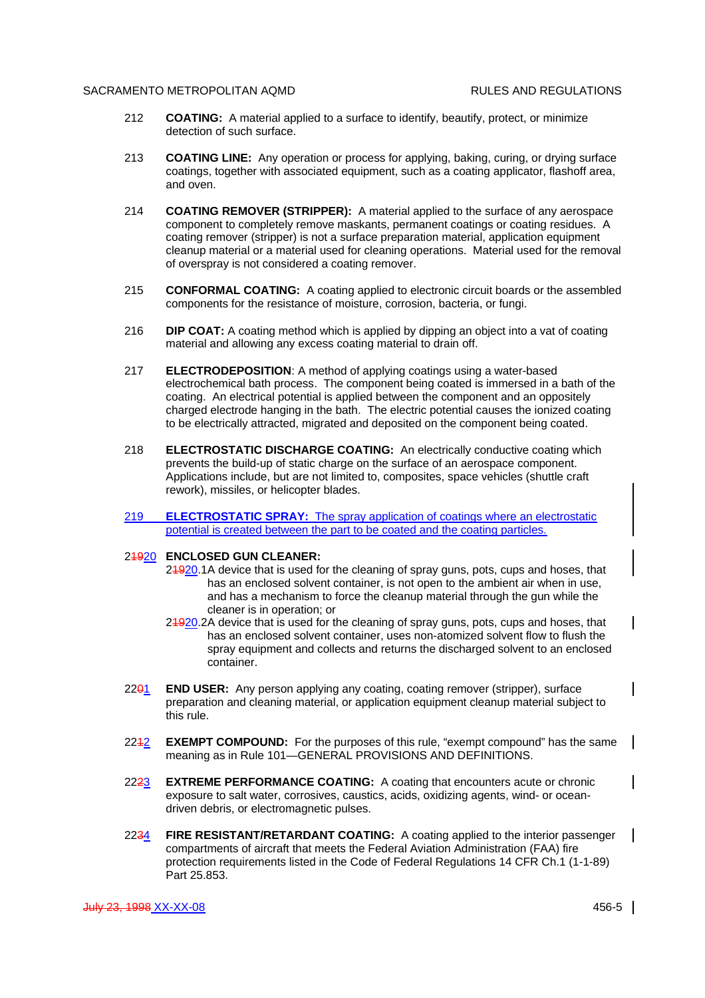- 212 **COATING:** A material applied to a surface to identify, beautify, protect, or minimize detection of such surface.
- 213 **COATING LINE:** Any operation or process for applying, baking, curing, or drying surface coatings, together with associated equipment, such as a coating applicator, flashoff area, and oven.
- 214 **COATING REMOVER (STRIPPER):** A material applied to the surface of any aerospace component to completely remove maskants, permanent coatings or coating residues. A coating remover (stripper) is not a surface preparation material, application equipment cleanup material or a material used for cleaning operations. Material used for the removal of overspray is not considered a coating remover.
- 215 **CONFORMAL COATING:** A coating applied to electronic circuit boards or the assembled components for the resistance of moisture, corrosion, bacteria, or fungi.
- 216 **DIP COAT:** A coating method which is applied by dipping an object into a vat of coating material and allowing any excess coating material to drain off.
- 217 **ELECTRODEPOSITION**: A method of applying coatings using a water-based electrochemical bath process. The component being coated is immersed in a bath of the coating. An electrical potential is applied between the component and an oppositely charged electrode hanging in the bath. The electric potential causes the ionized coating to be electrically attracted, migrated and deposited on the component being coated.
- 218 **ELECTROSTATIC DISCHARGE COATING:** An electrically conductive coating which prevents the build-up of static charge on the surface of an aerospace component. Applications include, but are not limited to, composites, space vehicles (shuttle craft rework), missiles, or helicopter blades.
- 219 **ELECTROSTATIC SPRAY:** The spray application of coatings where an electrostatic potential is created between the part to be coated and the coating particles.

## 21920 **ENCLOSED GUN CLEANER:**

- 24920.1A device that is used for the cleaning of spray guns, pots, cups and hoses, that has an enclosed solvent container, is not open to the ambient air when in use, and has a mechanism to force the cleanup material through the gun while the cleaner is in operation; or
- 24920.2A device that is used for the cleaning of spray guns, pots, cups and hoses, that has an enclosed solvent container, uses non-atomized solvent flow to flush the spray equipment and collects and returns the discharged solvent to an enclosed container.
- 2201 **END USER:** Any person applying any coating, coating remover (stripper), surface preparation and cleaning material, or application equipment cleanup material subject to this rule.
- 2212 **EXEMPT COMPOUND:** For the purposes of this rule, "exempt compound" has the same meaning as in Rule 101—GENERAL PROVISIONS AND DEFINITIONS.
- 2223 **EXTREME PERFORMANCE COATING:** A coating that encounters acute or chronic exposure to salt water, corrosives, caustics, acids, oxidizing agents, wind- or oceandriven debris, or electromagnetic pulses.
- 2234 **FIRE RESISTANT/RETARDANT COATING:** A coating applied to the interior passenger compartments of aircraft that meets the Federal Aviation Administration (FAA) fire protection requirements listed in the Code of Federal Regulations 14 CFR Ch.1 (1-1-89) Part 25.853.

 $\mathsf{l}$ 

 $\mathsf{l}$ 

 $\mathbf{I}$ 

 $\mathsf{l}$ 

 $\mathsf{l}$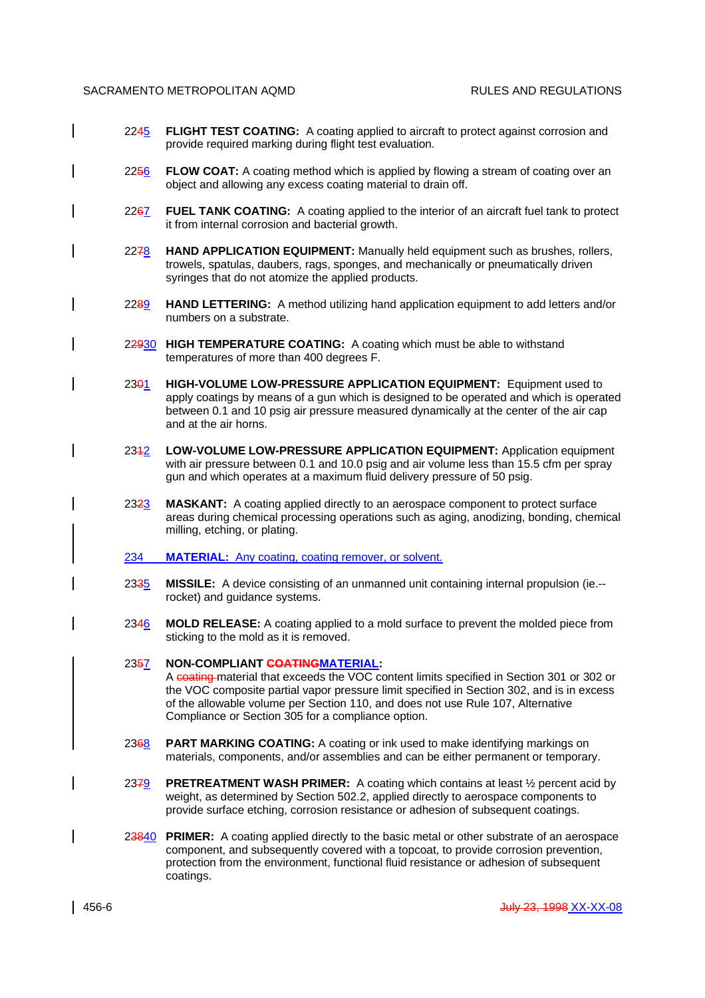- 2245 **FLIGHT TEST COATING:** A coating applied to aircraft to protect against corrosion and provide required marking during flight test evaluation.
- 2256 **FLOW COAT:** A coating method which is applied by flowing a stream of coating over an object and allowing any excess coating material to drain off.
- 2267 **FUEL TANK COATING:** A coating applied to the interior of an aircraft fuel tank to protect it from internal corrosion and bacterial growth.
- 2278 **HAND APPLICATION EQUIPMENT:** Manually held equipment such as brushes, rollers, trowels, spatulas, daubers, rags, sponges, and mechanically or pneumatically driven syringes that do not atomize the applied products.
- 2289 **HAND LETTERING:** A method utilizing hand application equipment to add letters and/or numbers on a substrate.
- 22930 **HIGH TEMPERATURE COATING:** A coating which must be able to withstand temperatures of more than 400 degrees F.
- 2301 **HIGH-VOLUME LOW-PRESSURE APPLICATION EQUIPMENT:** Equipment used to apply coatings by means of a gun which is designed to be operated and which is operated between 0.1 and 10 psig air pressure measured dynamically at the center of the air cap and at the air horns.
- 2312 **LOW-VOLUME LOW-PRESSURE APPLICATION EQUIPMENT:** Application equipment with air pressure between 0.1 and 10.0 psig and air volume less than 15.5 cfm per spray gun and which operates at a maximum fluid delivery pressure of 50 psig.
- 2323 **MASKANT:** A coating applied directly to an aerospace component to protect surface areas during chemical processing operations such as aging, anodizing, bonding, chemical milling, etching, or plating.
- 234 **MATERIAL:** Any coating, coating remover, or solvent.
- 2335 **MISSILE:** A device consisting of an unmanned unit containing internal propulsion (ie.- rocket) and guidance systems.
- 2346 **MOLD RELEASE:** A coating applied to a mold surface to prevent the molded piece from sticking to the mold as it is removed.

## 2357 **NON-COMPLIANT COATINGMATERIAL:**

A coating material that exceeds the VOC content limits specified in Section 301 or 302 or the VOC composite partial vapor pressure limit specified in Section 302, and is in excess of the allowable volume per Section 110, and does not use Rule 107, Alternative Compliance or Section 305 for a compliance option.

- 2368 **PART MARKING COATING:** A coating or ink used to make identifying markings on materials, components, and/or assemblies and can be either permanent or temporary.
- 2379 **PRETREATMENT WASH PRIMER:** A coating which contains at least ½ percent acid by weight, as determined by Section 502.2, applied directly to aerospace components to provide surface etching, corrosion resistance or adhesion of subsequent coatings.
- 23840 **PRIMER:** A coating applied directly to the basic metal or other substrate of an aerospace component, and subsequently covered with a topcoat, to provide corrosion prevention, protection from the environment, functional fluid resistance or adhesion of subsequent coatings.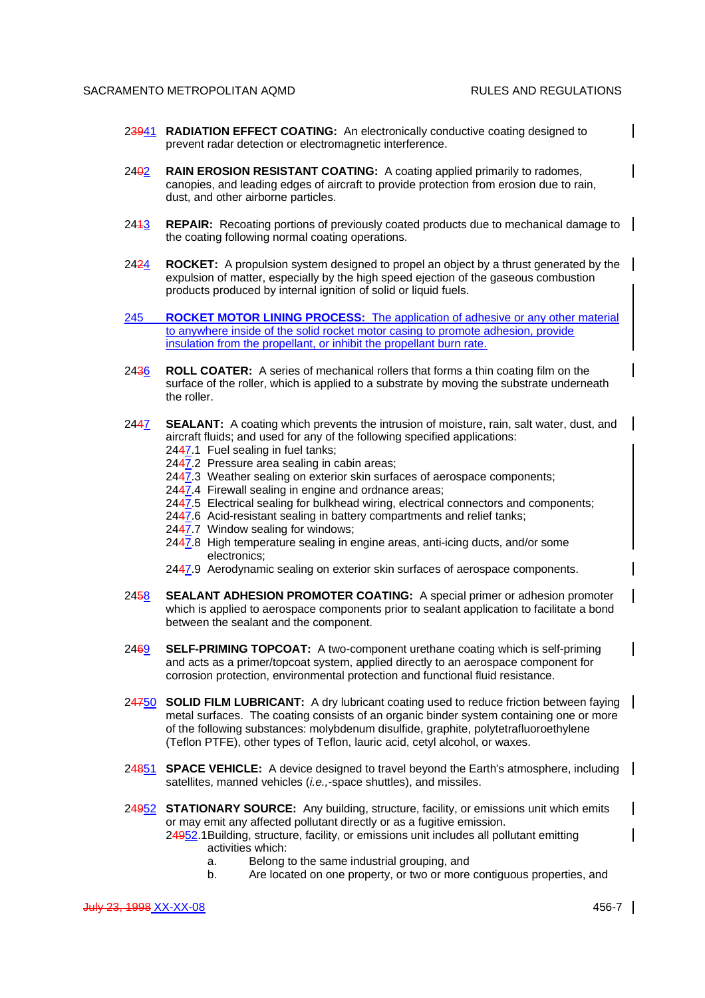$\mathbf l$ 

- 23941 **RADIATION EFFECT COATING:** An electronically conductive coating designed to prevent radar detection or electromagnetic interference.
- 2402 **RAIN EROSION RESISTANT COATING:** A coating applied primarily to radomes, canopies, and leading edges of aircraft to provide protection from erosion due to rain, dust, and other airborne particles.
- 2413 **REPAIR:** Recoating portions of previously coated products due to mechanical damage to the coating following normal coating operations.
- 2424 **ROCKET:** A propulsion system designed to propel an object by a thrust generated by the expulsion of matter, especially by the high speed ejection of the gaseous combustion products produced by internal ignition of solid or liquid fuels.
- 245 **ROCKET MOTOR LINING PROCESS:** The application of adhesive or any other material to anywhere inside of the solid rocket motor casing to promote adhesion, provide insulation from the propellant, or inhibit the propellant burn rate.
- 2436 **ROLL COATER:** A series of mechanical rollers that forms a thin coating film on the surface of the roller, which is applied to a substrate by moving the substrate underneath the roller.
- 2447 **SEALANT:** A coating which prevents the intrusion of moisture, rain, salt water, dust, and aircraft fluids; and used for any of the following specified applications:
	- 2447.1 Fuel sealing in fuel tanks;
	- 2447.2 Pressure area sealing in cabin areas;
	- 2447.3 Weather sealing on exterior skin surfaces of aerospace components;
	- 2447.4 Firewall sealing in engine and ordnance areas;
	- 2447.5 Electrical sealing for bulkhead wiring, electrical connectors and components;
	- 2447.6 Acid-resistant sealing in battery compartments and relief tanks;
	- 2447.7 Window sealing for windows;
	- 2447.8 High temperature sealing in engine areas, anti-icing ducts, and/or some electronics;
	- 2447.9 Aerodynamic sealing on exterior skin surfaces of aerospace components.
- 2458 **SEALANT ADHESION PROMOTER COATING:** A special primer or adhesion promoter which is applied to aerospace components prior to sealant application to facilitate a bond between the sealant and the component.
- 2469 **SELF-PRIMING TOPCOAT:** A two-component urethane coating which is self-priming and acts as a primer/topcoat system, applied directly to an aerospace component for corrosion protection, environmental protection and functional fluid resistance.
- 24750 **SOLID FILM LUBRICANT:** A dry lubricant coating used to reduce friction between faying metal surfaces. The coating consists of an organic binder system containing one or more of the following substances: molybdenum disulfide, graphite, polytetrafluoroethylene (Teflon PTFE), other types of Teflon, lauric acid, cetyl alcohol, or waxes.
- 24851 **SPACE VEHICLE:** A device designed to travel beyond the Earth's atmosphere, including satellites, manned vehicles (*i.e.,*-space shuttles), and missiles.
- 24952 **STATIONARY SOURCE:** Any building, structure, facility, or emissions unit which emits or may emit any affected pollutant directly or as a fugitive emission. 24952.1Building, structure, facility, or emissions unit includes all pollutant emitting activities which:
	- a. Belong to the same industrial grouping, and
	- b. Are located on one property, or two or more contiguous properties, and

 $\mathsf{l}$ 

 $\mathsf{l}$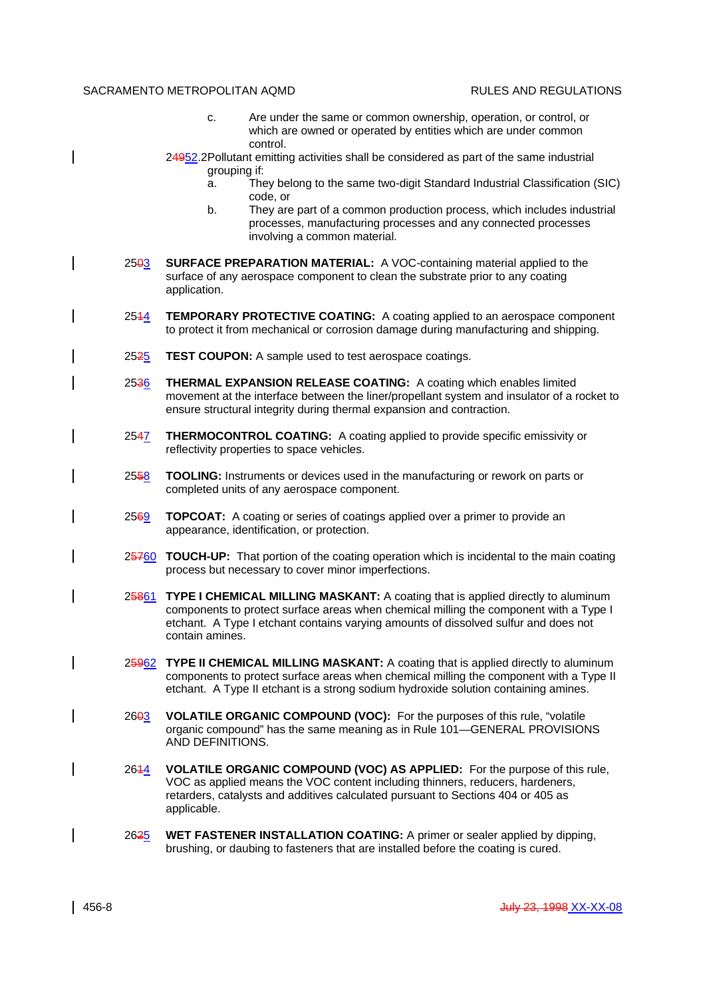- c. Are under the same or common ownership, operation, or control, or which are owned or operated by entities which are under common control.
- 24952.2Pollutant emitting activities shall be considered as part of the same industrial grouping if:
	- a. They belong to the same two-digit Standard Industrial Classification (SIC) code, or
	- b. They are part of a common production process, which includes industrial processes, manufacturing processes and any connected processes involving a common material.
- 2503 **SURFACE PREPARATION MATERIAL:** A VOC-containing material applied to the surface of any aerospace component to clean the substrate prior to any coating application.
- 2544 **TEMPORARY PROTECTIVE COATING:** A coating applied to an aerospace component to protect it from mechanical or corrosion damage during manufacturing and shipping.
- 2525 **TEST COUPON:** A sample used to test aerospace coatings.
- 2536 **THERMAL EXPANSION RELEASE COATING:** A coating which enables limited movement at the interface between the liner/propellant system and insulator of a rocket to ensure structural integrity during thermal expansion and contraction.
- 2547 **THERMOCONTROL COATING:** A coating applied to provide specific emissivity or reflectivity properties to space vehicles.
- 2558 **TOOLING:** Instruments or devices used in the manufacturing or rework on parts or completed units of any aerospace component.
- 2569 **TOPCOAT:** A coating or series of coatings applied over a primer to provide an appearance, identification, or protection.
- 25760 **TOUCH-UP:** That portion of the coating operation which is incidental to the main coating process but necessary to cover minor imperfections.
- 25861 **TYPE I CHEMICAL MILLING MASKANT:** A coating that is applied directly to aluminum components to protect surface areas when chemical milling the component with a Type I etchant. A Type I etchant contains varying amounts of dissolved sulfur and does not contain amines.
- 25962 **TYPE II CHEMICAL MILLING MASKANT:** A coating that is applied directly to aluminum components to protect surface areas when chemical milling the component with a Type II etchant. A Type II etchant is a strong sodium hydroxide solution containing amines.
- 2603 **VOLATILE ORGANIC COMPOUND (VOC):** For the purposes of this rule, "volatile organic compound" has the same meaning as in Rule 101—GENERAL PROVISIONS AND DEFINITIONS.
- 2614 **VOLATILE ORGANIC COMPOUND (VOC) AS APPLIED:** For the purpose of this rule, VOC as applied means the VOC content including thinners, reducers, hardeners, retarders, catalysts and additives calculated pursuant to Sections 404 or 405 as applicable.
- 2625 **WET FASTENER INSTALLATION COATING:** A primer or sealer applied by dipping, brushing, or daubing to fasteners that are installed before the coating is cured.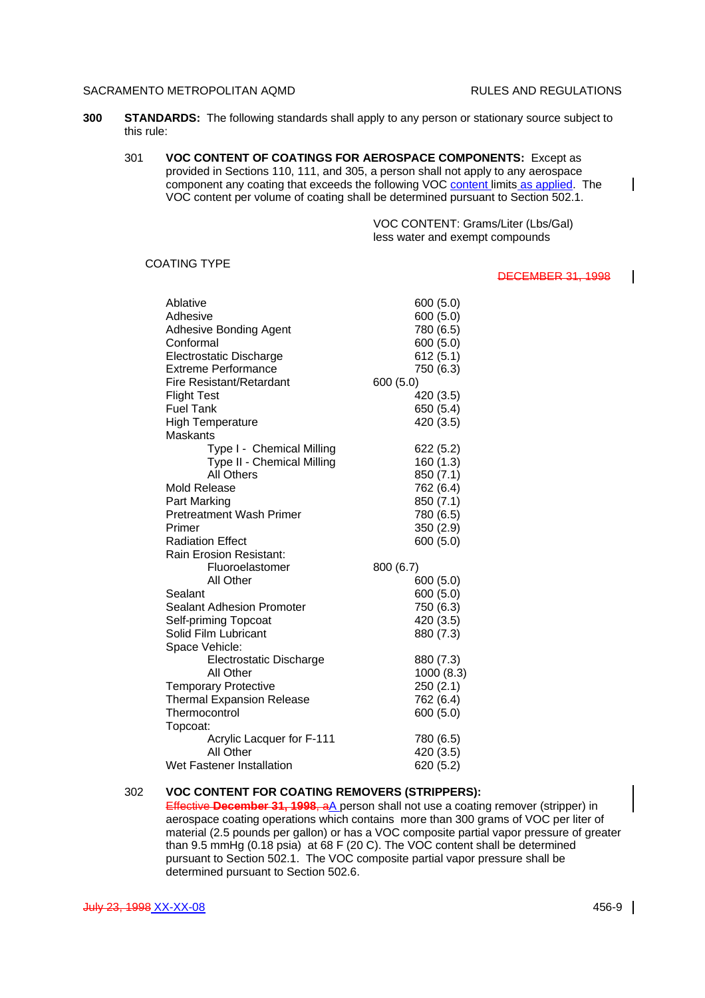- **300 STANDARDS:** The following standards shall apply to any person or stationary source subject to this rule:
	- 301 **VOC CONTENT OF COATINGS FOR AEROSPACE COMPONENTS:** Except as provided in Sections 110, 111, and 305, a person shall not apply to any aerospace component any coating that exceeds the following VOC content limits as applied. The VOC content per volume of coating shall be determined pursuant to Section 502.1.

VOC CONTENT: Grams/Liter (Lbs/Gal) less water and exempt compounds

### COATING TYPE

### DECEMBER 31, 1998

 $\mathsf{l}$ 

H

| Ablative                         | 600 (5.0)  |
|----------------------------------|------------|
| Adhesive                         | 600 (5.0)  |
| Adhesive Bonding Agent           | 780 (6.5)  |
| Conformal                        | 600 (5.0)  |
| Electrostatic Discharge          | 612(5.1)   |
| <b>Extreme Performance</b>       | 750 (6.3)  |
| Fire Resistant/Retardant         | 600 (5.0)  |
| <b>Flight Test</b>               | 420 (3.5)  |
| <b>Fuel Tank</b>                 | 650 (5.4)  |
| <b>High Temperature</b>          | 420 (3.5)  |
| Maskants                         |            |
| Type I - Chemical Milling        | 622 (5.2)  |
| Type II - Chemical Milling       | 160 (1.3)  |
| All Others                       | 850 (7.1)  |
| Mold Release                     | 762 (6.4)  |
| Part Marking                     | 850 (7.1)  |
| <b>Pretreatment Wash Primer</b>  | 780 (6.5)  |
| Primer                           | 350 (2.9)  |
| <b>Radiation Effect</b>          | 600 (5.0)  |
| <b>Rain Erosion Resistant:</b>   |            |
| Fluoroelastomer                  | 800 (6.7)  |
| All Other                        | 600 (5.0)  |
| Sealant                          | 600 (5.0)  |
| <b>Sealant Adhesion Promoter</b> | 750 (6.3)  |
| Self-priming Topcoat             | 420 (3.5)  |
| Solid Film Lubricant             | 880 (7.3)  |
| Space Vehicle:                   |            |
| Electrostatic Discharge          | 880 (7.3)  |
| All Other                        | 1000 (8.3) |
| <b>Temporary Protective</b>      | 250 (2.1)  |
| <b>Thermal Expansion Release</b> | 762 (6.4)  |
| Thermocontrol                    | 600 (5.0)  |
| Topcoat:                         |            |
| Acrylic Lacquer for F-111        | 780 (6.5)  |
| All Other                        | 420 (3.5)  |
| Wet Fastener Installation        | 620 (5.2)  |

# 302 **VOC CONTENT FOR COATING REMOVERS (STRIPPERS):**

Effective December 31, 1998, aA person shall not use a coating remover (stripper) in aerospace coating operations which contains more than 300 grams of VOC per liter of material (2.5 pounds per gallon) or has a VOC composite partial vapor pressure of greater than 9.5 mmHg (0.18 psia) at 68 F (20 C). The VOC content shall be determined pursuant to Section 502.1. The VOC composite partial vapor pressure shall be determined pursuant to Section 502.6.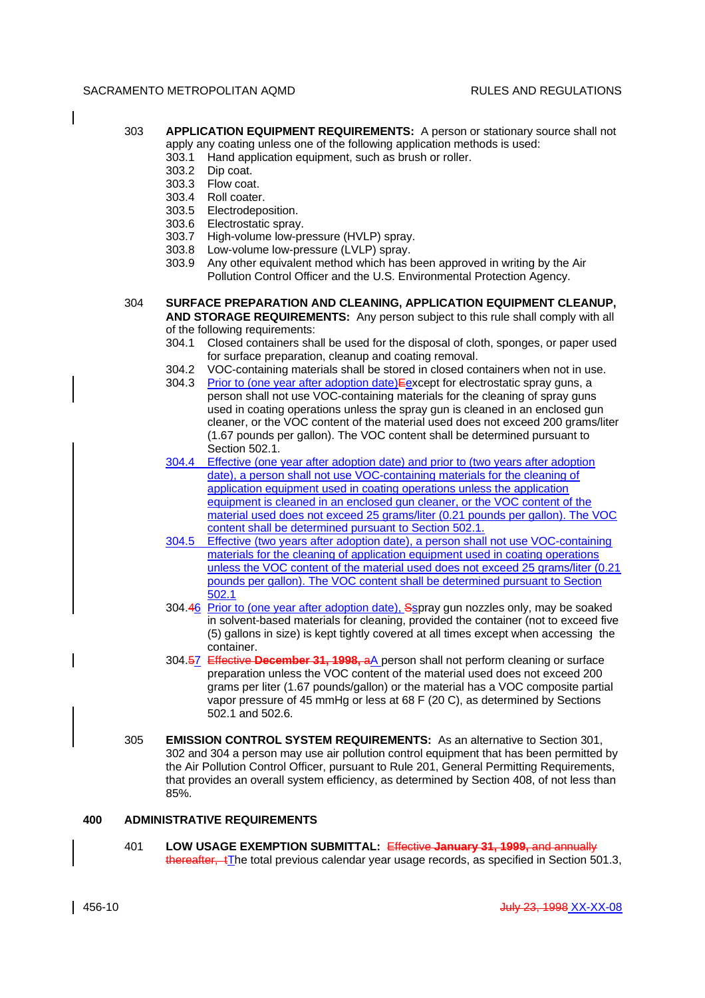- 303 **APPLICATION EQUIPMENT REQUIREMENTS:** A person or stationary source shall not apply any coating unless one of the following application methods is used:
	- 303.1 Hand application equipment, such as brush or roller.
	- 303.2 Dip coat.
	- 303.3 Flow coat.
	- 303.4 Roll coater.
	- 303.5 Electrodeposition.
	- 303.6 Electrostatic spray.
	- 303.7 High-volume low-pressure (HVLP) spray.
	- 303.8 Low-volume low-pressure (LVLP) spray.
	- 303.9 Any other equivalent method which has been approved in writing by the Air Pollution Control Officer and the U.S. Environmental Protection Agency.
- 304 **SURFACE PREPARATION AND CLEANING, APPLICATION EQUIPMENT CLEANUP, AND STORAGE REQUIREMENTS:** Any person subject to this rule shall comply with all of the following requirements:
	- 304.1 Closed containers shall be used for the disposal of cloth, sponges, or paper used for surface preparation, cleanup and coating removal.
	- 304.2 VOC-containing materials shall be stored in closed containers when not in use.
	- 304.3 Prior to (one year after adoption date) Eexcept for electrostatic spray guns, a person shall not use VOC-containing materials for the cleaning of spray guns used in coating operations unless the spray gun is cleaned in an enclosed gun cleaner, or the VOC content of the material used does not exceed 200 grams/liter (1.67 pounds per gallon). The VOC content shall be determined pursuant to Section 502.1.
	- 304.4 Effective (one year after adoption date) and prior to (two years after adoption date), a person shall not use VOC-containing materials for the cleaning of application equipment used in coating operations unless the application equipment is cleaned in an enclosed gun cleaner, or the VOC content of the material used does not exceed 25 grams/liter (0.21 pounds per gallon). The VOC content shall be determined pursuant to Section 502.1.
	- 304.5 Effective (two years after adoption date), a person shall not use VOC-containing materials for the cleaning of application equipment used in coating operations unless the VOC content of the material used does not exceed 25 grams/liter (0.21 pounds per gallon). The VOC content shall be determined pursuant to Section 502.1
	- 304.46 Prior to (one year after adoption date), Sspray gun nozzles only, may be soaked in solvent-based materials for cleaning, provided the container (not to exceed five (5) gallons in size) is kept tightly covered at all times except when accessing the container.
	- 304.57 Effective **December 31, 1998,** aA person shall not perform cleaning or surface preparation unless the VOC content of the material used does not exceed 200 grams per liter (1.67 pounds/gallon) or the material has a VOC composite partial vapor pressure of 45 mmHg or less at 68 F (20 C), as determined by Sections 502.1 and 502.6.
- 305 **EMISSION CONTROL SYSTEM REQUIREMENTS:** As an alternative to Section 301, 302 and 304 a person may use air pollution control equipment that has been permitted by the Air Pollution Control Officer, pursuant to Rule 201, General Permitting Requirements, that provides an overall system efficiency, as determined by Section 408, of not less than 85%.

# **400 ADMINISTRATIVE REQUIREMENTS**

401 **LOW USAGE EXEMPTION SUBMITTAL:** Effective **January 31, 1999,** and annually thereafter,  $t$ The total previous calendar year usage records, as specified in Section 501.3,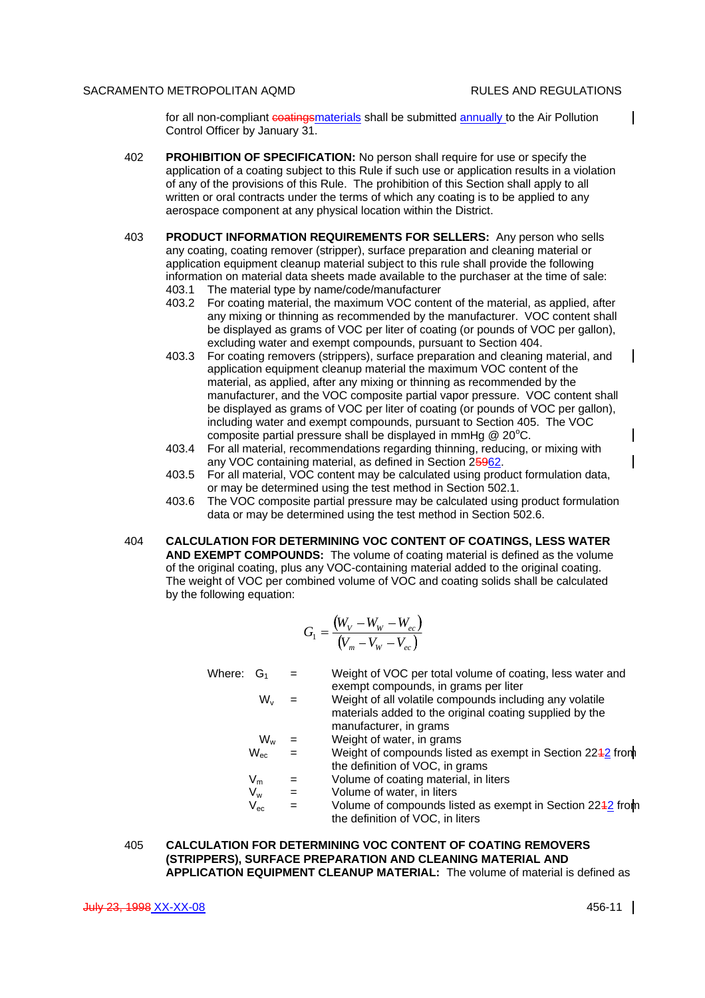$\mathsf{l}$ 

 $\mathbf{I}$ 

 $\mathsf{l}$ 

 $\mathbf l$ 

for all non-compliant coatings materials shall be submitted annually to the Air Pollution Control Officer by January 31.

- 402 **PROHIBITION OF SPECIFICATION:** No person shall require for use or specify the application of a coating subject to this Rule if such use or application results in a violation of any of the provisions of this Rule. The prohibition of this Section shall apply to all written or oral contracts under the terms of which any coating is to be applied to any aerospace component at any physical location within the District.
- 403 **PRODUCT INFORMATION REQUIREMENTS FOR SELLERS:** Any person who sells any coating, coating remover (stripper), surface preparation and cleaning material or application equipment cleanup material subject to this rule shall provide the following information on material data sheets made available to the purchaser at the time of sale: 403.1 The material type by name/code/manufacturer
	- 403.2 For coating material, the maximum VOC content of the material, as applied, after any mixing or thinning as recommended by the manufacturer. VOC content shall be displayed as grams of VOC per liter of coating (or pounds of VOC per gallon), excluding water and exempt compounds, pursuant to Section 404.
	- 403.3 For coating removers (strippers), surface preparation and cleaning material, and application equipment cleanup material the maximum VOC content of the material, as applied, after any mixing or thinning as recommended by the manufacturer, and the VOC composite partial vapor pressure. VOC content shall be displayed as grams of VOC per liter of coating (or pounds of VOC per gallon), including water and exempt compounds, pursuant to Section 405. The VOC composite partial pressure shall be displayed in mmHg  $@$  20 $°C$ .
	- 403.4 For all material, recommendations regarding thinning, reducing, or mixing with any VOC containing material, as defined in Section 25962.
	- 403.5 For all material, VOC content may be calculated using product formulation data, or may be determined using the test method in Section 502.1.
	- 403.6 The VOC composite partial pressure may be calculated using product formulation data or may be determined using the test method in Section 502.6.
- 404 **CALCULATION FOR DETERMINING VOC CONTENT OF COATINGS, LESS WATER AND EXEMPT COMPOUNDS:** The volume of coating material is defined as the volume of the original coating, plus any VOC-containing material added to the original coating. The weight of VOC per combined volume of VOC and coating solids shall be calculated by the following equation:

$$
G_1 = \frac{(W_V - W_W - W_{ec})}{(V_m - V_W - V_{ec})}
$$

Where:  $G_1 = W$ eight of VOC per total volume of coating, less water and exempt compounds, in grams per liter  $W_y$  = Weight of all volatile compounds including any volatile materials added to the original coating supplied by the manufacturer, in grams  $W_w$  = Weight of water, in grams<br>W... = Weight of compounds liste

- $=$  Weight of compounds listed as exempt in Section 2242 from the definition of VOC, in grams
- $V_m$  = Volume of coating material, in liters<br>  $V_{\cdots}$  = Volume of water, in liters
- $=$  Volume of water, in liters
- $V_{\text{ec}}$  = Volume of compounds listed as exempt in Section 2242 from the definition of VOC, in liters

## 405 **CALCULATION FOR DETERMINING VOC CONTENT OF COATING REMOVERS (STRIPPERS), SURFACE PREPARATION AND CLEANING MATERIAL AND APPLICATION EQUIPMENT CLEANUP MATERIAL:** The volume of material is defined as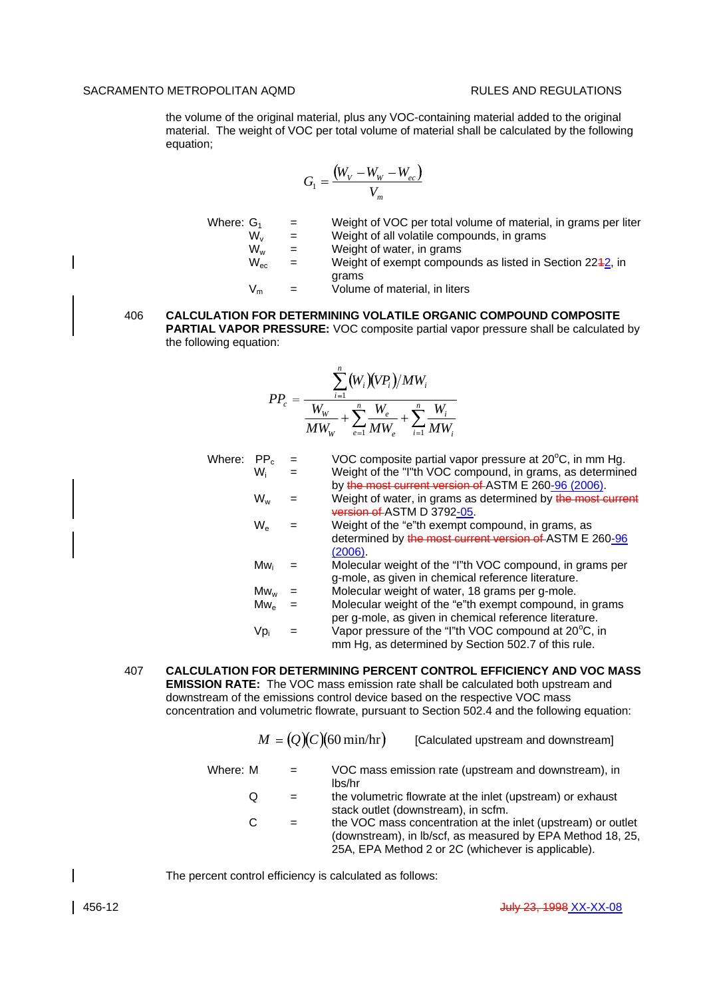the volume of the original material, plus any VOC-containing material added to the original material. The weight of VOC per total volume of material shall be calculated by the following equation;

$$
G_1 = \frac{(W_V - W_W - W_{ec})}{V_m}
$$

Where:  $G_1$  = Weight of VOC per total volume of material, in grams per liter

 $W_v$  = Weight of all volatile compounds, in grams

- $W_w$  = Weight of water, in grams<br> $W_{ac}$  = Weight of exempt compou
	- $=$  Weight of exempt compounds as listed in Section 2242, in grams
- $V_m$  = Volume of material, in liters

## 406 **CALCULATION FOR DETERMINING VOLATILE ORGANIC COMPOUND COMPOSITE PARTIAL VAPOR PRESSURE:** VOC composite partial vapor pressure shall be calculated by the following equation:

$$
PP_c = \frac{\sum_{i=1}^{n} (W_i)(VP_i)/MW_i}{W_W} + \sum_{e=1}^{n} \frac{W_e}{MW_e} + \sum_{i=1}^{n} \frac{W_i}{MW_i}
$$

| Where: | PP <sub>c</sub>            | $=$ | VOC composite partial vapor pressure at 20°C, in mm Hg.                                                           |
|--------|----------------------------|-----|-------------------------------------------------------------------------------------------------------------------|
|        | Wi                         | $=$ | Weight of the "I"th VOC compound, in grams, as determined<br>by the most current version of ASTM E 260-96 (2006). |
|        | $W_w$                      |     | Weight of water, in grams as determined by the most current<br>version of ASTM D 3792-05.                         |
|        | $W_{\sim}$                 |     | Weight of the "e"th exempt compound, in grams, as                                                                 |
|        |                            |     | determined by the most current version of ASTM E 260-96                                                           |
|        |                            |     | (2006).                                                                                                           |
|        | Mw.                        |     | Molecular weight of the "I"th VOC compound, in grams per<br>g-mole, as given in chemical reference literature.    |
|        | $Mw_w$                     |     | Molecular weight of water, 18 grams per g-mole.                                                                   |
|        | $\mathsf{Mw}_{\mathsf{e}}$ |     | Molecular weight of the "e"th exempt compound, in grams                                                           |
|        |                            |     | per g-mole, as given in chemical reference literature.                                                            |
|        | Vp <sub>i</sub>            |     | Vapor pressure of the "I"th VOC compound at 20°C, in<br>mm Hg, as determined by Section 502.7 of this rule.       |

407 **CALCULATION FOR DETERMINING PERCENT CONTROL EFFICIENCY AND VOC MASS EMISSION RATE:** The VOC mass emission rate shall be calculated both upstream and downstream of the emissions control device based on the respective VOC mass concentration and volumetric flowrate, pursuant to Section 502.4 and the following equation:

|          |   |     | $M = (Q)(C)(60 \text{ min/hr})$<br>[Calculated upstream and downstream]                                                                                                          |
|----------|---|-----|----------------------------------------------------------------------------------------------------------------------------------------------------------------------------------|
| Where: M |   | $=$ | VOC mass emission rate (upstream and downstream), in<br>lbs/hr                                                                                                                   |
|          | Q | $=$ | the volumetric flowrate at the inlet (upstream) or exhaust<br>stack outlet (downstream), in scfm.                                                                                |
|          | C | $=$ | the VOC mass concentration at the inlet (upstream) or outlet<br>(downstream), in lb/scf, as measured by EPA Method 18, 25,<br>25A, EPA Method 2 or 2C (whichever is applicable). |

The percent control efficiency is calculated as follows: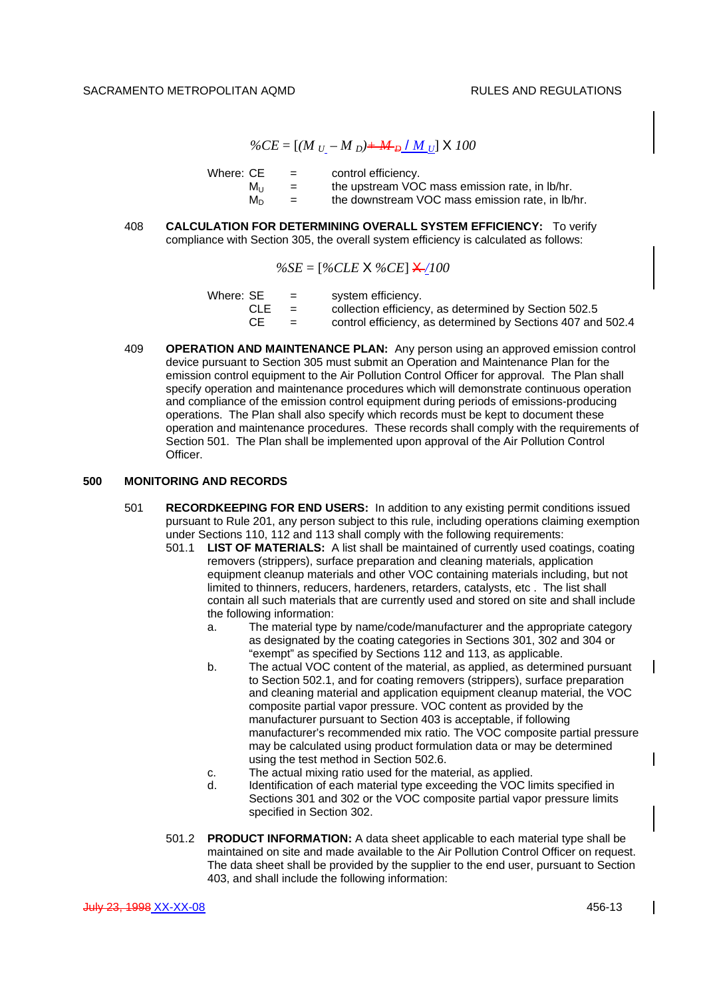$\%CE = [(M_U - M_D) + M_D / M_U] \times 100$ 

| Where: CE | $=$ | control efficiency.                              |
|-----------|-----|--------------------------------------------------|
| Mu        | $=$ | the upstream VOC mass emission rate, in lb/hr.   |
| M∩        | $=$ | the downstream VOC mass emission rate, in Ib/hr. |

408 **CALCULATION FOR DETERMINING OVERALL SYSTEM EFFICIENCY:** To verify compliance with Section 305, the overall system efficiency is calculated as follows:

$$
\%SE = [\%CLE \times \%CE] \times 100
$$

| Where: SE | <b>Section</b> | system efficiency.                                          |
|-----------|----------------|-------------------------------------------------------------|
| CLE.      | $=$            | collection efficiency, as determined by Section 502.5       |
| CЕ        | $\equiv$       | control efficiency, as determined by Sections 407 and 502.4 |

409 **OPERATION AND MAINTENANCE PLAN:** Any person using an approved emission control device pursuant to Section 305 must submit an Operation and Maintenance Plan for the emission control equipment to the Air Pollution Control Officer for approval. The Plan shall specify operation and maintenance procedures which will demonstrate continuous operation and compliance of the emission control equipment during periods of emissions-producing operations. The Plan shall also specify which records must be kept to document these operation and maintenance procedures. These records shall comply with the requirements of Section 501. The Plan shall be implemented upon approval of the Air Pollution Control Officer.

## **500 MONITORING AND RECORDS**

- 501 **RECORDKEEPING FOR END USERS:** In addition to any existing permit conditions issued pursuant to Rule 201, any person subject to this rule, including operations claiming exemption under Sections 110, 112 and 113 shall comply with the following requirements:
	- 501.1 **LIST OF MATERIALS:** A list shall be maintained of currently used coatings, coating removers (strippers), surface preparation and cleaning materials, application equipment cleanup materials and other VOC containing materials including, but not limited to thinners, reducers, hardeners, retarders, catalysts, etc . The list shall contain all such materials that are currently used and stored on site and shall include the following information:
		- a. The material type by name/code/manufacturer and the appropriate category as designated by the coating categories in Sections 301, 302 and 304 or "exempt" as specified by Sections 112 and 113, as applicable.
		- b. The actual VOC content of the material, as applied, as determined pursuant to Section 502.1, and for coating removers (strippers), surface preparation and cleaning material and application equipment cleanup material, the VOC composite partial vapor pressure. VOC content as provided by the manufacturer pursuant to Section 403 is acceptable, if following manufacturer's recommended mix ratio. The VOC composite partial pressure may be calculated using product formulation data or may be determined using the test method in Section 502.6.
		- c. The actual mixing ratio used for the material, as applied.
		- d. Identification of each material type exceeding the VOC limits specified in Sections 301 and 302 or the VOC composite partial vapor pressure limits specified in Section 302.
	- 501.2 **PRODUCT INFORMATION:** A data sheet applicable to each material type shall be maintained on site and made available to the Air Pollution Control Officer on request. The data sheet shall be provided by the supplier to the end user, pursuant to Section 403, and shall include the following information:

 $\mathbf{I}$ 

 $\overline{\phantom{a}}$ 

 $\overline{\phantom{a}}$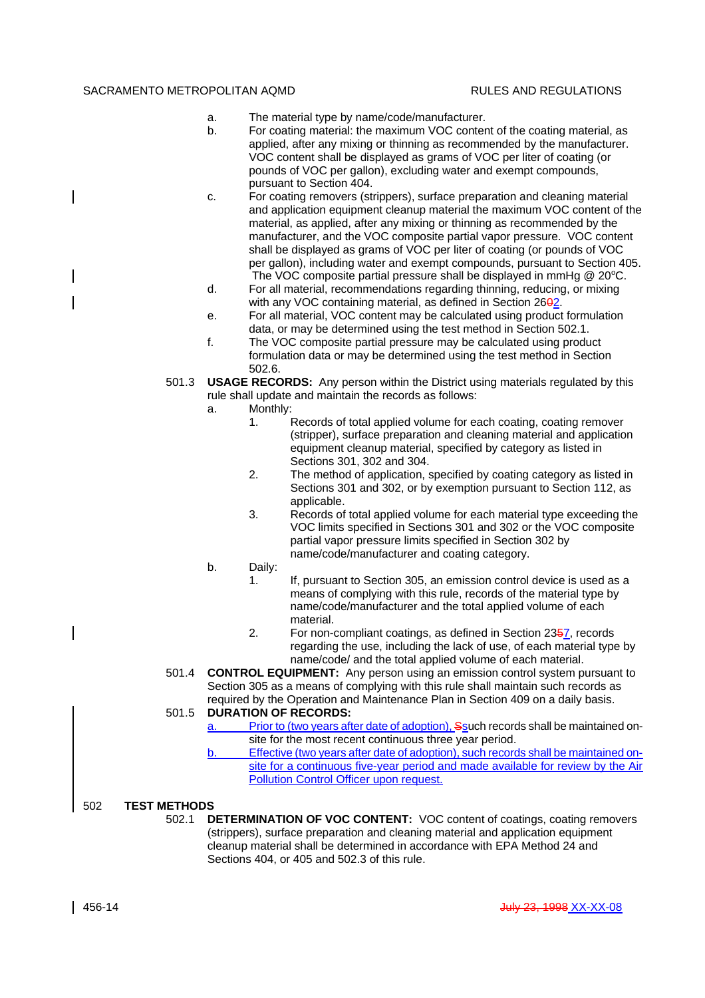- a. The material type by name/code/manufacturer.
- b. For coating material: the maximum VOC content of the coating material, as applied, after any mixing or thinning as recommended by the manufacturer. VOC content shall be displayed as grams of VOC per liter of coating (or pounds of VOC per gallon), excluding water and exempt compounds, pursuant to Section 404.
- c. For coating removers (strippers), surface preparation and cleaning material and application equipment cleanup material the maximum VOC content of the material, as applied, after any mixing or thinning as recommended by the manufacturer, and the VOC composite partial vapor pressure. VOC content shall be displayed as grams of VOC per liter of coating (or pounds of VOC per gallon), including water and exempt compounds, pursuant to Section 405. The VOC composite partial pressure shall be displayed in mmHg  $@$  20 $°C$ .
- d. For all material, recommendations regarding thinning, reducing, or mixing with any VOC containing material, as defined in Section 2602.
- e. For all material, VOC content may be calculated using product formulation data, or may be determined using the test method in Section 502.1.
- f. The VOC composite partial pressure may be calculated using product formulation data or may be determined using the test method in Section 502.6.
- 501.3 **USAGE RECORDS:** Any person within the District using materials regulated by this rule shall update and maintain the records as follows:
	- a. Monthly:
		- 1. Records of total applied volume for each coating, coating remover (stripper), surface preparation and cleaning material and application equipment cleanup material, specified by category as listed in Sections 301, 302 and 304.
		- 2. The method of application, specified by coating category as listed in Sections 301 and 302, or by exemption pursuant to Section 112, as applicable.
		- 3. Records of total applied volume for each material type exceeding the VOC limits specified in Sections 301 and 302 or the VOC composite partial vapor pressure limits specified in Section 302 by name/code/manufacturer and coating category.
	- b. Daily:
		- 1. If, pursuant to Section 305, an emission control device is used as a means of complying with this rule, records of the material type by name/code/manufacturer and the total applied volume of each material.
		- 2. For non-compliant coatings, as defined in Section 2357, records regarding the use, including the lack of use, of each material type by name/code/ and the total applied volume of each material.
- 501.4 **CONTROL EQUIPMENT:** Any person using an emission control system pursuant to Section 305 as a means of complying with this rule shall maintain such records as required by the Operation and Maintenance Plan in Section 409 on a daily basis.

# 501.5 **DURATION OF RECORDS:**

- Prior to (two years after date of adoption), Ssuch records shall be maintained onsite for the most recent continuous three year period.
- b. Effective (two years after date of adoption), such records shall be maintained onsite for a continuous five-year period and made available for review by the Air **Pollution Control Officer upon request.**

# 502 **TEST METHODS**

502.1 **DETERMINATION OF VOC CONTENT:** VOC content of coatings, coating removers (strippers), surface preparation and cleaning material and application equipment cleanup material shall be determined in accordance with EPA Method 24 and Sections 404, or 405 and 502.3 of this rule.